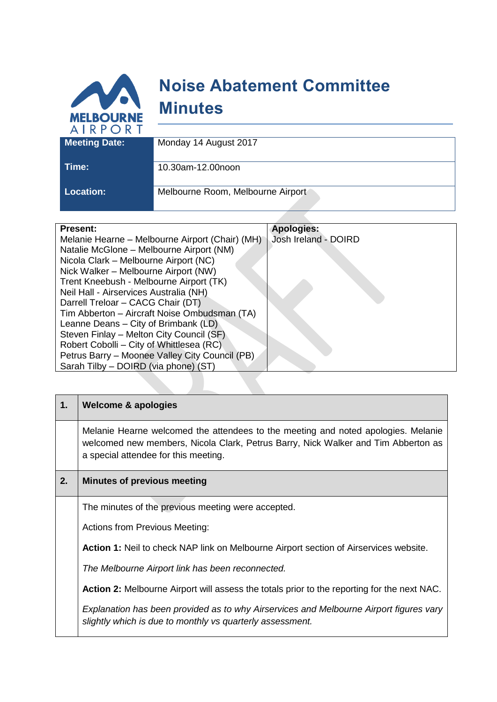

| <b>Location:</b> |  |
|------------------|--|

**Location:** Melbourne Room, Melbourne Airport

| <b>Present:</b>                                 | <b>Apologies:</b>    |
|-------------------------------------------------|----------------------|
| Melanie Hearne – Melbourne Airport (Chair) (MH) | Josh Ireland - DOIRD |
| Natalie McGlone - Melbourne Airport (NM)        |                      |
| Nicola Clark - Melbourne Airport (NC)           |                      |
| Nick Walker - Melbourne Airport (NW)            |                      |
| Trent Kneebush - Melbourne Airport (TK)         |                      |
| Neil Hall - Airservices Australia (NH)          |                      |
| Darrell Treloar - CACG Chair (DT)               |                      |
| Tim Abberton - Aircraft Noise Ombudsman (TA)    |                      |
| Leanne Deans - City of Brimbank (LD)            |                      |
| Steven Finlay - Melton City Council (SF)        |                      |
| Robert Cobolli – City of Whittlesea (RC)        |                      |
| Petrus Barry - Moonee Valley City Council (PB)  |                      |
| Sarah Tilby - DOIRD (via phone) (ST)            |                      |
|                                                 |                      |

| 1. | <b>Welcome &amp; apologies</b>                                                                                                                                                                                 |
|----|----------------------------------------------------------------------------------------------------------------------------------------------------------------------------------------------------------------|
|    | Melanie Hearne welcomed the attendees to the meeting and noted apologies. Melanie<br>welcomed new members, Nicola Clark, Petrus Barry, Nick Walker and Tim Abberton as<br>a special attendee for this meeting. |
| 2. | <b>Minutes of previous meeting</b>                                                                                                                                                                             |
|    | The minutes of the previous meeting were accepted.                                                                                                                                                             |
|    | <b>Actions from Previous Meeting:</b>                                                                                                                                                                          |
|    | <b>Action 1:</b> Neil to check NAP link on Melbourne Airport section of Airservices website.                                                                                                                   |
|    | The Melbourne Airport link has been reconnected.                                                                                                                                                               |
|    | <b>Action 2:</b> Melbourne Airport will assess the totals prior to the reporting for the next NAC.                                                                                                             |
|    | Explanation has been provided as to why Airservices and Melbourne Airport figures vary<br>slightly which is due to monthly vs quarterly assessment.                                                            |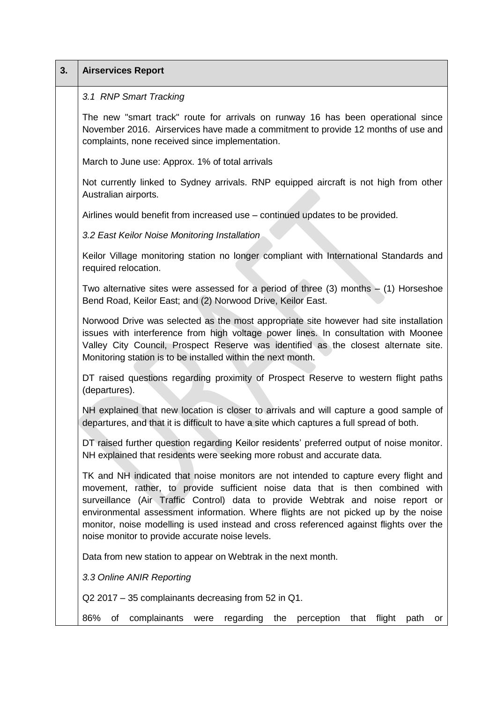| 3. | <b>Airservices Report</b>                                                                                                                                                                                                                                                                                                                                                                                                                                                                  |
|----|--------------------------------------------------------------------------------------------------------------------------------------------------------------------------------------------------------------------------------------------------------------------------------------------------------------------------------------------------------------------------------------------------------------------------------------------------------------------------------------------|
|    | 3.1 RNP Smart Tracking                                                                                                                                                                                                                                                                                                                                                                                                                                                                     |
|    | The new "smart track" route for arrivals on runway 16 has been operational since<br>November 2016. Airservices have made a commitment to provide 12 months of use and<br>complaints, none received since implementation.                                                                                                                                                                                                                                                                   |
|    | March to June use: Approx. 1% of total arrivals                                                                                                                                                                                                                                                                                                                                                                                                                                            |
|    | Not currently linked to Sydney arrivals. RNP equipped aircraft is not high from other<br>Australian airports.                                                                                                                                                                                                                                                                                                                                                                              |
|    | Airlines would benefit from increased use - continued updates to be provided.                                                                                                                                                                                                                                                                                                                                                                                                              |
|    | 3.2 East Keilor Noise Monitoring Installation                                                                                                                                                                                                                                                                                                                                                                                                                                              |
|    | Keilor Village monitoring station no longer compliant with International Standards and<br>required relocation.                                                                                                                                                                                                                                                                                                                                                                             |
|    | Two alternative sites were assessed for a period of three $(3)$ months $ (1)$ Horseshoe<br>Bend Road, Keilor East; and (2) Norwood Drive, Keilor East.                                                                                                                                                                                                                                                                                                                                     |
|    | Norwood Drive was selected as the most appropriate site however had site installation<br>issues with interference from high voltage power lines. In consultation with Moonee<br>Valley City Council, Prospect Reserve was identified as the closest alternate site.<br>Monitoring station is to be installed within the next month.                                                                                                                                                        |
|    | DT raised questions regarding proximity of Prospect Reserve to western flight paths<br>(departures).                                                                                                                                                                                                                                                                                                                                                                                       |
|    | NH explained that new location is closer to arrivals and will capture a good sample of<br>departures, and that it is difficult to have a site which captures a full spread of both.                                                                                                                                                                                                                                                                                                        |
|    | DT raised further question regarding Keilor residents' preferred output of noise monitor.<br>NH explained that residents were seeking more robust and accurate data.                                                                                                                                                                                                                                                                                                                       |
|    | TK and NH indicated that noise monitors are not intended to capture every flight and<br>movement, rather, to provide sufficient noise data that is then combined with<br>surveillance (Air Traffic Control) data to provide Webtrak and noise report or<br>environmental assessment information. Where flights are not picked up by the noise<br>monitor, noise modelling is used instead and cross referenced against flights over the<br>noise monitor to provide accurate noise levels. |
|    | Data from new station to appear on Webtrak in the next month.                                                                                                                                                                                                                                                                                                                                                                                                                              |
|    | 3.3 Online ANIR Reporting                                                                                                                                                                                                                                                                                                                                                                                                                                                                  |
|    | Q2 2017 – 35 complainants decreasing from 52 in Q1.                                                                                                                                                                                                                                                                                                                                                                                                                                        |
|    | 86%<br>complainants<br>regarding<br>the<br>perception<br>that<br>flight<br>οf<br>path<br>were<br>or                                                                                                                                                                                                                                                                                                                                                                                        |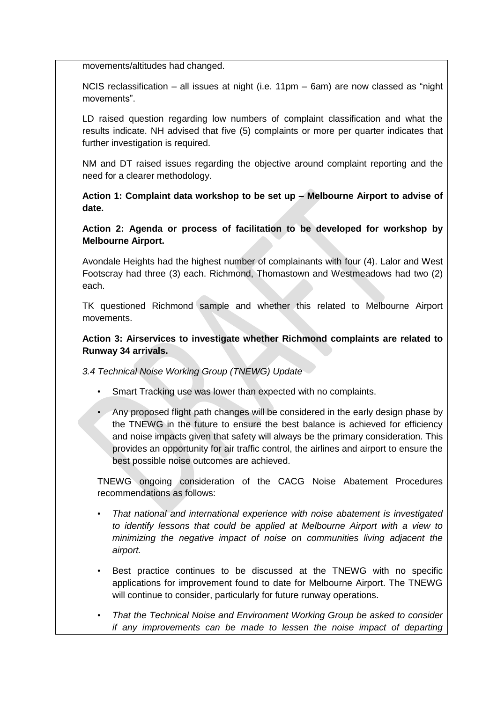movements/altitudes had changed.

NCIS reclassification – all issues at night (i.e. 11pm – 6am) are now classed as "night movements".

LD raised question regarding low numbers of complaint classification and what the results indicate. NH advised that five (5) complaints or more per quarter indicates that further investigation is required.

NM and DT raised issues regarding the objective around complaint reporting and the need for a clearer methodology.

**Action 1: Complaint data workshop to be set up – Melbourne Airport to advise of date.**

**Action 2: Agenda or process of facilitation to be developed for workshop by Melbourne Airport.**

Avondale Heights had the highest number of complainants with four (4). Lalor and West Footscray had three (3) each. Richmond, Thomastown and Westmeadows had two (2) each.

TK questioned Richmond sample and whether this related to Melbourne Airport movements.

**Action 3: Airservices to investigate whether Richmond complaints are related to Runway 34 arrivals.** 

*3.4 Technical Noise Working Group (TNEWG) Update*

- Smart Tracking use was lower than expected with no complaints.
- Any proposed flight path changes will be considered in the early design phase by the TNEWG in the future to ensure the best balance is achieved for efficiency and noise impacts given that safety will always be the primary consideration. This provides an opportunity for air traffic control, the airlines and airport to ensure the best possible noise outcomes are achieved.

TNEWG ongoing consideration of the CACG Noise Abatement Procedures recommendations as follows:

- *That national and international experience with noise abatement is investigated to identify lessons that could be applied at Melbourne Airport with a view to minimizing the negative impact of noise on communities living adjacent the airport.*
- Best practice continues to be discussed at the TNEWG with no specific applications for improvement found to date for Melbourne Airport. The TNEWG will continue to consider, particularly for future runway operations.
- *That the Technical Noise and Environment Working Group be asked to consider if any improvements can be made to lessen the noise impact of departing*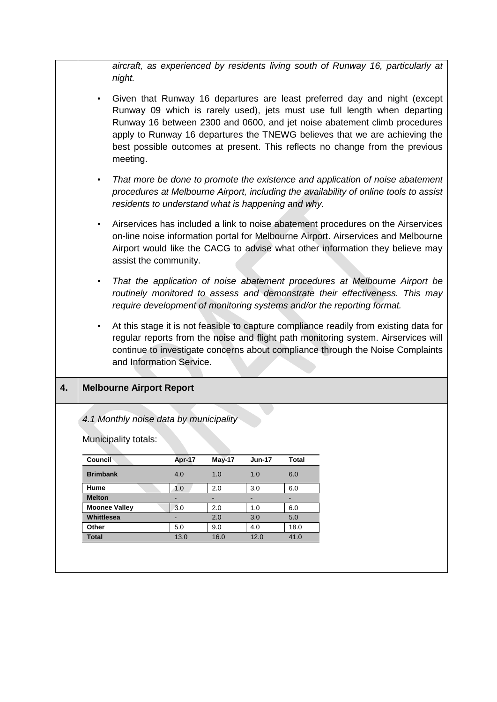*aircraft, as experienced by residents living south of Runway 16, particularly at night.*

- Given that Runway 16 departures are least preferred day and night (except Runway 09 which is rarely used), jets must use full length when departing Runway 16 between 2300 and 0600, and jet noise abatement climb procedures apply to Runway 16 departures the TNEWG believes that we are achieving the best possible outcomes at present. This reflects no change from the previous meeting.
- *That more be done to promote the existence and application of noise abatement procedures at Melbourne Airport, including the availability of online tools to assist residents to understand what is happening and why.*
- Airservices has included a link to noise abatement procedures on the Airservices on-line noise information portal for Melbourne Airport. Airservices and Melbourne Airport would like the CACG to advise what other information they believe may assist the community.
- *That the application of noise abatement procedures at Melbourne Airport be routinely monitored to assess and demonstrate their effectiveness. This may require development of monitoring systems and/or the reporting format.*
- At this stage it is not feasible to capture compliance readily from existing data for regular reports from the noise and flight path monitoring system. Airservices will continue to investigate concerns about compliance through the Noise Complaints and Information Service.

## **4. Melbourne Airport Report**

## *4.1 Monthly noise data by municipality*

Municipality totals:

|      | <b>May-17</b> | <b>Jun-17</b> | <b>Total</b> |
|------|---------------|---------------|--------------|
| 4.0  | 1.0           | 1.0           | 6.0          |
| 1.0  | 2.0           | 3.0           | 6.0          |
| -    | -             | -             | -            |
| 3.0  | 2.0           | 1.0           | 6.0          |
| -    | 2.0           | 3.0           | 5.0          |
| 5.0  | 9.0           | 4.0           | 18.0         |
| 13.0 | 16.0          | 12.0          | 41.0         |
|      |               | Apr-17        |              |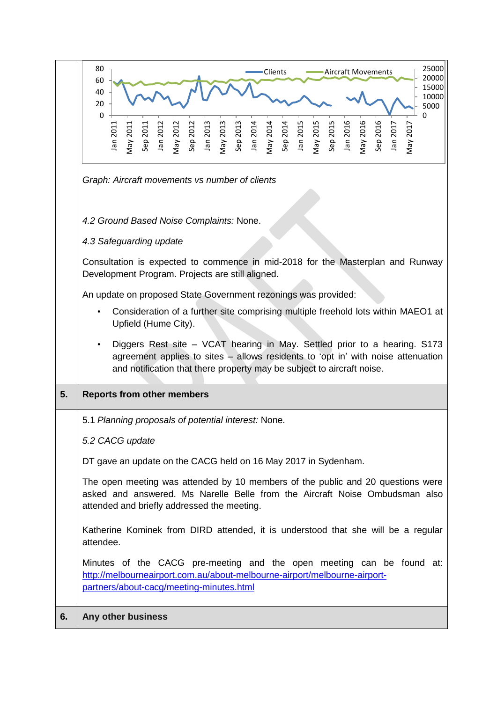|    | 25000<br>80<br>Clients<br>Aircraft Movements<br>20000                                                                                                                                                                            |
|----|----------------------------------------------------------------------------------------------------------------------------------------------------------------------------------------------------------------------------------|
|    | 60<br>15000<br>40<br>10000                                                                                                                                                                                                       |
|    | 20<br>5000<br>$\mathbf 0$<br>0                                                                                                                                                                                                   |
|    | Jan 2015<br>May 2015<br>May 2016<br>Sep 2015<br>Jan 2016<br>Sep 2016<br>Sep 2011<br>Jan 2012<br>May 2012<br>Sep 2013<br>Jan 2013<br>Sep 2013<br>Sep 2013<br>May 2014<br>Sep 2014<br>May 2017<br>Jan 2011<br>Jan 2017<br>May 2011 |
|    |                                                                                                                                                                                                                                  |
|    | Graph: Aircraft movements vs number of clients                                                                                                                                                                                   |
|    |                                                                                                                                                                                                                                  |
|    | 4.2 Ground Based Noise Complaints: None.                                                                                                                                                                                         |
|    | 4.3 Safeguarding update                                                                                                                                                                                                          |
|    |                                                                                                                                                                                                                                  |
|    | Consultation is expected to commence in mid-2018 for the Masterplan and Runway<br>Development Program. Projects are still aligned.                                                                                               |
|    | An update on proposed State Government rezonings was provided:                                                                                                                                                                   |
|    | Consideration of a further site comprising multiple freehold lots within MAEO1 at<br>Upfield (Hume City).                                                                                                                        |
|    | Diggers Rest site - VCAT hearing in May. Settled prior to a hearing. S173<br>$\bullet$                                                                                                                                           |
|    | agreement applies to sites - allows residents to 'opt in' with noise attenuation<br>and notification that there property may be subject to aircraft noise.                                                                       |
| 5. | <b>Reports from other members</b>                                                                                                                                                                                                |
|    |                                                                                                                                                                                                                                  |
|    | 5.1 Planning proposals of potential interest: None.                                                                                                                                                                              |
|    | 5.2 CACG update                                                                                                                                                                                                                  |
|    | DT gave an update on the CACG held on 16 May 2017 in Sydenham.                                                                                                                                                                   |
|    | The open meeting was attended by 10 members of the public and 20 questions were<br>asked and answered. Ms Narelle Belle from the Aircraft Noise Ombudsman also<br>attended and briefly addressed the meeting.                    |
|    | Katherine Kominek from DIRD attended, it is understood that she will be a regular<br>attendee.                                                                                                                                   |
|    | Minutes of the CACG pre-meeting and the open meeting can be found at:<br>http://melbourneairport.com.au/about-melbourne-airport/melbourne-airport-<br>partners/about-cacg/meeting-minutes.html                                   |
| 6. | Any other business                                                                                                                                                                                                               |